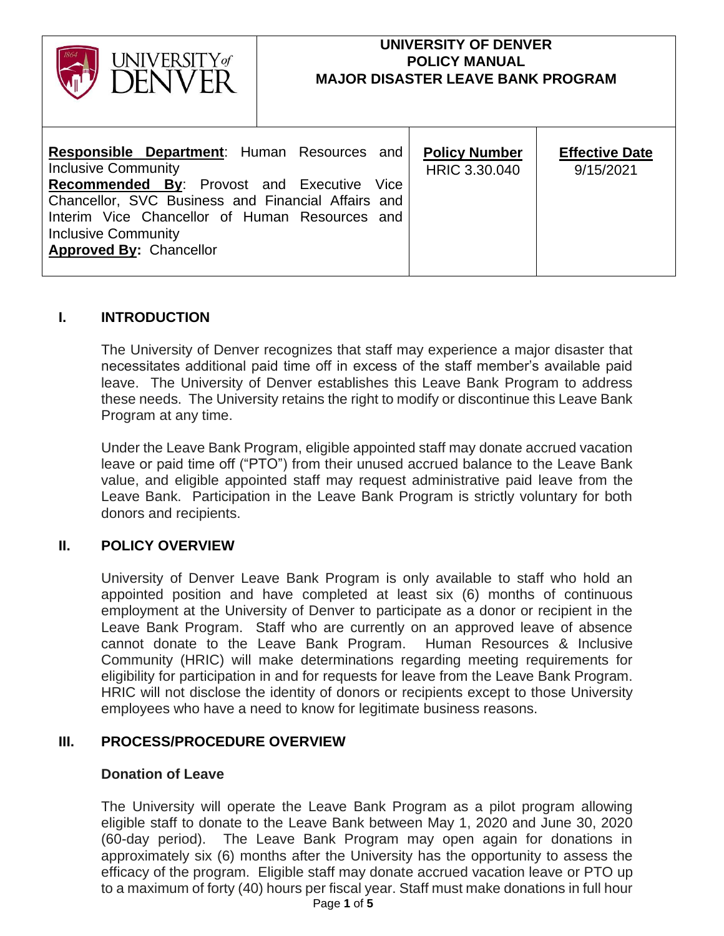| UNIVERSITY of                                                                                                                                                                                                                                                          | UNIVERSITY OF DENVER<br><b>POLICY MANUAL</b><br><b>MAJOR DISASTER LEAVE BANK PROGRAM</b> |                                       |                                    |
|------------------------------------------------------------------------------------------------------------------------------------------------------------------------------------------------------------------------------------------------------------------------|------------------------------------------------------------------------------------------|---------------------------------------|------------------------------------|
| <b>Responsible Department:</b> Human Resources and<br><b>Inclusive Community</b><br><b>Recommended By: Provost and Executive</b><br>Chancellor, SVC Business and Financial Affairs and<br>Interim Vice Chancellor of Human Resources and<br><b>Inclusive Community</b> | Vice                                                                                     | <b>Policy Number</b><br>HRIC 3.30.040 | <b>Effective Date</b><br>9/15/2021 |

# **I. INTRODUCTION**

**Approved By:** Chancellor

The University of Denver recognizes that staff may experience a major disaster that necessitates additional paid time off in excess of the staff member's available paid leave. The University of Denver establishes this Leave Bank Program to address these needs. The University retains the right to modify or discontinue this Leave Bank Program at any time.

Under the Leave Bank Program, eligible appointed staff may donate accrued vacation leave or paid time off ("PTO") from their unused accrued balance to the Leave Bank value, and eligible appointed staff may request administrative paid leave from the Leave Bank. Participation in the Leave Bank Program is strictly voluntary for both donors and recipients.

## **II. POLICY OVERVIEW**

University of Denver Leave Bank Program is only available to staff who hold an appointed position and have completed at least six (6) months of continuous employment at the University of Denver to participate as a donor or recipient in the Leave Bank Program. Staff who are currently on an approved leave of absence cannot donate to the Leave Bank Program. Human Resources & Inclusive Community (HRIC) will make determinations regarding meeting requirements for eligibility for participation in and for requests for leave from the Leave Bank Program. HRIC will not disclose the identity of donors or recipients except to those University employees who have a need to know for legitimate business reasons.

## **III. PROCESS/PROCEDURE OVERVIEW**

#### **Donation of Leave**

The University will operate the Leave Bank Program as a pilot program allowing eligible staff to donate to the Leave Bank between May 1, 2020 and June 30, 2020 (60-day period). The Leave Bank Program may open again for donations in approximately six (6) months after the University has the opportunity to assess the efficacy of the program. Eligible staff may donate accrued vacation leave or PTO up to a maximum of forty (40) hours per fiscal year. Staff must make donations in full hour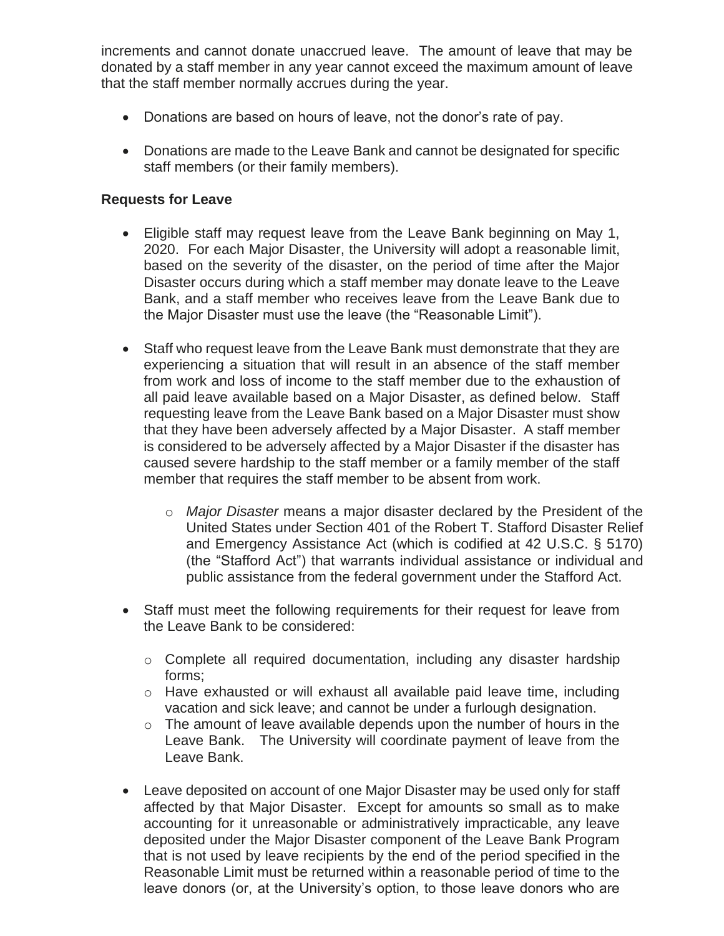increments and cannot donate unaccrued leave. The amount of leave that may be donated by a staff member in any year cannot exceed the maximum amount of leave that the staff member normally accrues during the year.

- Donations are based on hours of leave, not the donor's rate of pay.
- Donations are made to the Leave Bank and cannot be designated for specific staff members (or their family members).

## **Requests for Leave**

- Eligible staff may request leave from the Leave Bank beginning on May 1, 2020. For each Major Disaster, the University will adopt a reasonable limit, based on the severity of the disaster, on the period of time after the Major Disaster occurs during which a staff member may donate leave to the Leave Bank, and a staff member who receives leave from the Leave Bank due to the Major Disaster must use the leave (the "Reasonable Limit").
- Staff who request leave from the Leave Bank must demonstrate that they are experiencing a situation that will result in an absence of the staff member from work and loss of income to the staff member due to the exhaustion of all paid leave available based on a Major Disaster, as defined below. Staff requesting leave from the Leave Bank based on a Major Disaster must show that they have been adversely affected by a Major Disaster. A staff member is considered to be adversely affected by a Major Disaster if the disaster has caused severe hardship to the staff member or a family member of the staff member that requires the staff member to be absent from work.
	- o *Major Disaster* means a major disaster declared by the President of the United States under Section 401 of the Robert T. Stafford Disaster Relief and Emergency Assistance Act (which is codified at 42 U.S.C. § 5170) (the "Stafford Act") that warrants individual assistance or individual and public assistance from the federal government under the Stafford Act.
- Staff must meet the following requirements for their request for leave from the Leave Bank to be considered:
	- o Complete all required documentation, including any disaster hardship forms;
	- o Have exhausted or will exhaust all available paid leave time, including vacation and sick leave; and cannot be under a furlough designation.
	- o The amount of leave available depends upon the number of hours in the Leave Bank. The University will coordinate payment of leave from the Leave Bank.
- Leave deposited on account of one Major Disaster may be used only for staff affected by that Major Disaster. Except for amounts so small as to make accounting for it unreasonable or administratively impracticable, any leave deposited under the Major Disaster component of the Leave Bank Program that is not used by leave recipients by the end of the period specified in the Reasonable Limit must be returned within a reasonable period of time to the leave donors (or, at the University's option, to those leave donors who are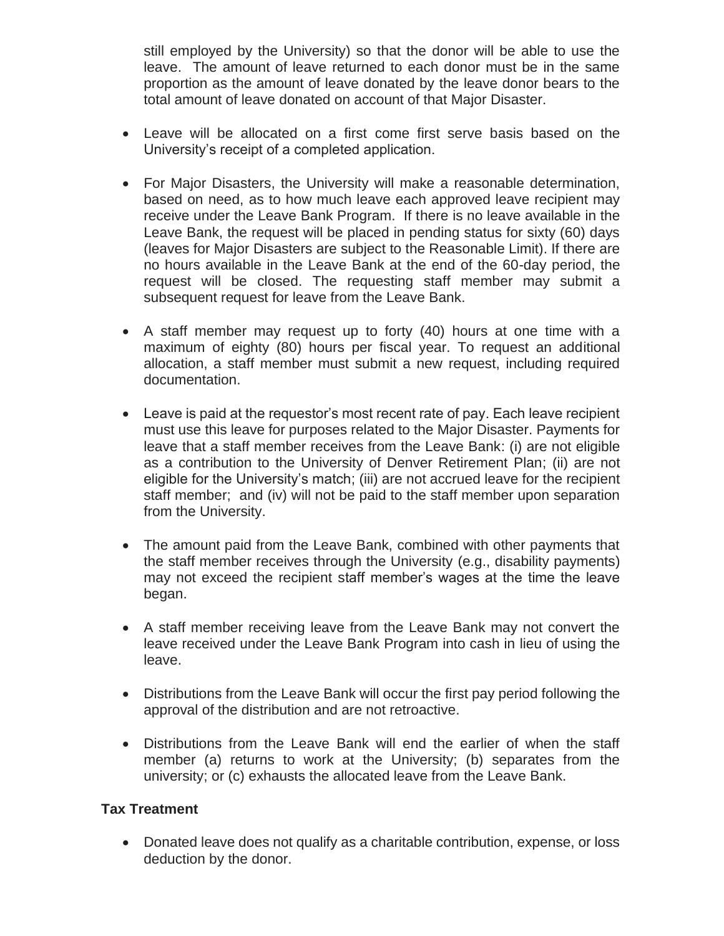still employed by the University) so that the donor will be able to use the leave. The amount of leave returned to each donor must be in the same proportion as the amount of leave donated by the leave donor bears to the total amount of leave donated on account of that Major Disaster.

- Leave will be allocated on a first come first serve basis based on the University's receipt of a completed application.
- For Major Disasters, the University will make a reasonable determination, based on need, as to how much leave each approved leave recipient may receive under the Leave Bank Program. If there is no leave available in the Leave Bank, the request will be placed in pending status for sixty (60) days (leaves for Major Disasters are subject to the Reasonable Limit). If there are no hours available in the Leave Bank at the end of the 60-day period, the request will be closed. The requesting staff member may submit a subsequent request for leave from the Leave Bank.
- A staff member may request up to forty (40) hours at one time with a maximum of eighty (80) hours per fiscal year. To request an additional allocation, a staff member must submit a new request, including required documentation.
- Leave is paid at the requestor's most recent rate of pay. Each leave recipient must use this leave for purposes related to the Major Disaster. Payments for leave that a staff member receives from the Leave Bank: (i) are not eligible as a contribution to the University of Denver Retirement Plan; (ii) are not eligible for the University's match; (iii) are not accrued leave for the recipient staff member; and (iv) will not be paid to the staff member upon separation from the University.
- The amount paid from the Leave Bank, combined with other payments that the staff member receives through the University (e.g., disability payments) may not exceed the recipient staff member's wages at the time the leave began.
- A staff member receiving leave from the Leave Bank may not convert the leave received under the Leave Bank Program into cash in lieu of using the leave.
- Distributions from the Leave Bank will occur the first pay period following the approval of the distribution and are not retroactive.
- Distributions from the Leave Bank will end the earlier of when the staff member (a) returns to work at the University; (b) separates from the university; or (c) exhausts the allocated leave from the Leave Bank.

## **Tax Treatment**

• Donated leave does not qualify as a charitable contribution, expense, or loss deduction by the donor.